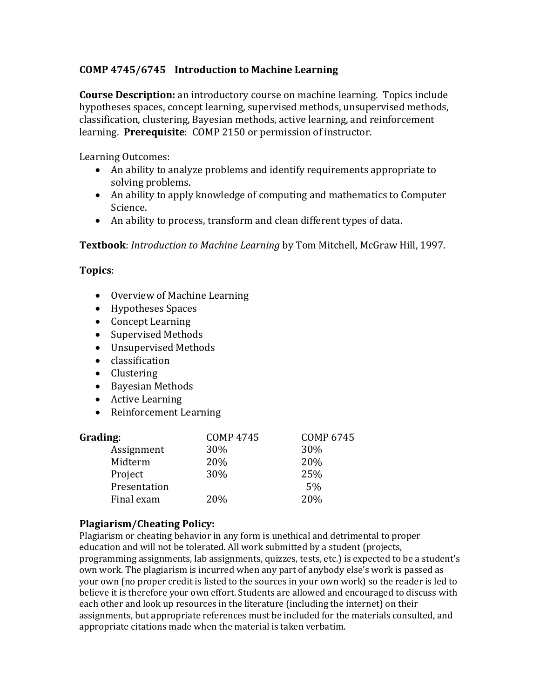## **COMP 4745/6745 Introduction to Machine Learning**

**Course Description:** an introductory course on machine learning. Topics include hypotheses spaces, concept learning, supervised methods, unsupervised methods, classification, clustering, Bayesian methods, active learning, and reinforcement learning. **Prerequisite**: COMP 2150 or permission of instructor.

Learning Outcomes:

- An ability to analyze problems and identify requirements appropriate to solving problems.
- An ability to apply knowledge of computing and mathematics to Computer Science.
- An ability to process, transform and clean different types of data.

**Textbook**: *Introduction to Machine Learning* by Tom Mitchell, McGraw Hill, 1997.

## **Topics**:

- Overview of Machine Learning
- Hypotheses Spaces
- Concept Learning
- Supervised Methods
- Unsupervised Methods
- classification
- Clustering
- Bayesian Methods
- Active Learning
- Reinforcement Learning

| Grading:     | <b>COMP 4745</b> | <b>COMP 6745</b> |
|--------------|------------------|------------------|
| Assignment   | 30%              | 30%              |
| Midterm      | 20%              | 20%              |
| Project      | 30%              | 25%              |
| Presentation |                  | 5%               |
| Final exam   | 20%              | 20%              |

## **Plagiarism/Cheating Policy:**

Plagiarism or cheating behavior in any form is unethical and detrimental to proper education and will not be tolerated. All work submitted by a student (projects, programming assignments, lab assignments, quizzes, tests, etc.) is expected to be a student's own work. The plagiarism is incurred when any part of anybody else's work is passed as your own (no proper credit is listed to the sources in your own work) so the reader is led to believe it is therefore your own effort. Students are allowed and encouraged to discuss with each other and look up resources in the literature (including the internet) on their assignments, but appropriate references must be included for the materials consulted, and appropriate citations made when the material is taken verbatim.